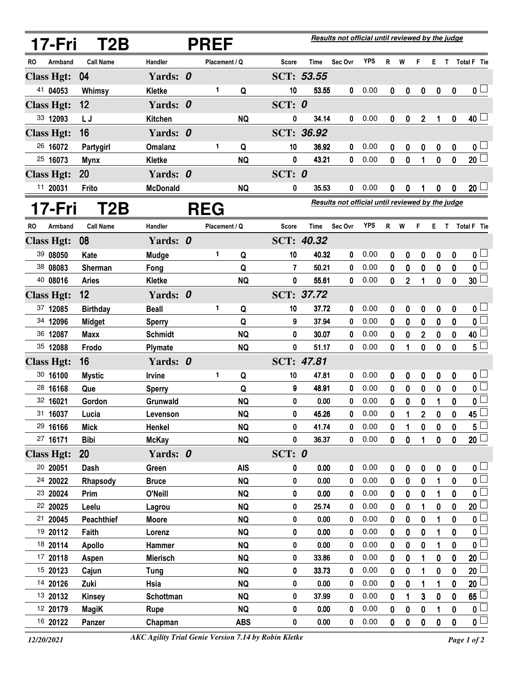|    | 17-Fri               | T <sub>2</sub> B       | <b>PREF</b>     |  |               |                         |              | Results not official until reviewed by the judge |                                                  |              |             |              |                  |                  |                  |                                       |  |
|----|----------------------|------------------------|-----------------|--|---------------|-------------------------|--------------|--------------------------------------------------|--------------------------------------------------|--------------|-------------|--------------|------------------|------------------|------------------|---------------------------------------|--|
| RO | Armband              | <b>Call Name</b>       | Handler         |  | Placement / Q |                         | <b>Score</b> | Time                                             | Sec Ovr                                          | <b>YPS</b>   | R           | W            | F                | Е.               | $\mathsf{T}$     | Total F Tie                           |  |
|    | <b>Class Hgt:</b>    | 04                     | Yards: 0        |  |               |                         |              | SCT: 53.55                                       |                                                  |              |             |              |                  |                  |                  |                                       |  |
|    | 41 04053             | Whimsy                 | <b>Kletke</b>   |  | 1             | Q                       | 10           | 53.55                                            | 0                                                | 0.00         | 0           | 0            | $\mathbf 0$      | $\boldsymbol{0}$ | $\boldsymbol{0}$ | 0 <sub>1</sub>                        |  |
|    | <b>Class Hgt:</b>    | 12                     | Yards: 0        |  |               |                         | SCT: 0       |                                                  |                                                  |              |             |              |                  |                  |                  |                                       |  |
|    | 33 12093             | L J                    | <b>Kitchen</b>  |  |               | <b>NQ</b>               | 0            | 34.14                                            | 0                                                | 0.00         | 0           | 0            | $\overline{2}$   | 1                | 0                | $40\perp$                             |  |
|    | <b>Class Hgt:</b>    | 16                     | Yards: 0        |  |               |                         |              | <b>SCT: 36.92</b>                                |                                                  |              |             |              |                  |                  |                  |                                       |  |
|    | 26 16072             | Partygirl              | <b>Omalanz</b>  |  | 1             | Q                       | 10           | 36.92                                            | 0                                                | 0.00         | 0           | 0            | 0                | $\boldsymbol{0}$ | 0                | 0 <sub>l</sub>                        |  |
|    | 25 16073             | <b>Mynx</b>            | <b>Kletke</b>   |  |               | <b>NQ</b>               | 0            | 43.21                                            | 0                                                | 0.00         | 0           | $\mathbf{0}$ | 1                | $\mathbf{0}$     | 0                | 20 <sup>2</sup>                       |  |
|    | <b>Class Hgt:</b>    | 20                     | Yards: 0        |  |               |                         | SCT: $0$     |                                                  |                                                  |              |             |              |                  |                  |                  |                                       |  |
|    | 11 20031             | Frito                  | <b>McDonald</b> |  |               | <b>NQ</b>               | 0            | 35.53                                            | 0                                                | 0.00         | 0           | 0            | 1                | 0                | $\mathbf 0$      | $20\perp$                             |  |
|    | 17-Fri               | T2B                    |                 |  | <b>REG</b>    |                         |              |                                                  | Results not official until reviewed by the judge |              |             |              |                  |                  |                  |                                       |  |
| RO | Armband              | <b>Call Name</b>       | Handler         |  | Placement / Q |                         | <b>Score</b> | Time                                             | Sec Ovr                                          | <b>YPS</b>   | R           | W            | F                | Е.               |                  | T Total F Tie                         |  |
|    | <b>Class Hgt:</b>    | 08                     | Yards: 0        |  |               |                         |              | <b>SCT: 40.32</b>                                |                                                  |              |             |              |                  |                  |                  |                                       |  |
|    | 39 08050             | Kate                   | Mudge           |  | 1             | Q                       | 10           | 40.32                                            | 0                                                | 0.00         | 0           | 0            | 0                | 0                | 0                | 0 <sub>0</sub>                        |  |
|    | 38 08083             | Sherman                | Fong            |  |               | Q                       | 7            | 50.21                                            | 0                                                | 0.00         | 0           | 0            | 0                | 0                | 0                | $\mathfrak{o} \square$                |  |
|    | 40 08016             | <b>Aries</b>           | Kletke          |  |               | <b>NQ</b>               | 0            | 55.61                                            | 0                                                | 0.00         | 0           | 2            | 1                | 0                | 0                | 30 <sup>1</sup>                       |  |
|    | <b>Class Hgt:</b>    | 12                     | Yards: 0        |  |               |                         |              | SCT: 37.72                                       |                                                  |              |             |              |                  |                  |                  |                                       |  |
|    | 37 12085             | <b>Birthday</b>        | <b>Beall</b>    |  | 1             | Q                       | 10           | 37.72                                            | 0                                                | 0.00         | 0           | 0            | 0                | 0                | 0                | 0 <sub>0</sub>                        |  |
|    | 34 12096             | <b>Midget</b>          | <b>Sperry</b>   |  |               | Q                       | 9            | 37.94                                            | 0                                                | 0.00         | 0           | 0            | 0                | 0                | 0                | $\overline{\mathbf{0}}$               |  |
|    | 36 12087             | <b>Maxx</b>            | <b>Schmidt</b>  |  |               | <b>NQ</b>               | 0            | 30.07                                            | 0                                                | 0.00         | 0           | 0            | $\overline{2}$   | 0                | 0                | 40 <sup>1</sup>                       |  |
|    | 35 12088             | Frodo                  | Plymate         |  |               | <b>NQ</b>               | 0            | 51.17                                            | 0                                                | 0.00         | 0           | 1            | $\boldsymbol{0}$ | 0                | 0                | $5^{\degree}$                         |  |
|    | <b>Class Hgt:</b>    | 16                     | Yards: 0        |  |               |                         |              | SCT: 47.81                                       |                                                  |              |             |              |                  |                  |                  |                                       |  |
|    | 30 16100             | <b>Mystic</b>          | Irvine          |  | 1             | Q                       | 10           | 47.81                                            | 0                                                | 0.00         | 0           | 0            | 0                | 0                | 0                | 0 <sub>0</sub>                        |  |
|    | 28 16168             | Que                    | <b>Sperry</b>   |  |               | Q                       | 9            | 48.91                                            | 0                                                | 0.00         | 0           | 0            | 0                | 0                | 0                | $\mathfrak{o} \sqsubset$              |  |
|    | 32 16021             | Gordon                 | Grunwald        |  |               | <b>NQ</b>               | 0            | 0.00                                             | 0                                                | 0.00         | 0           | 0            | 0                | 1                | 0                | $\mathbf{0}$                          |  |
|    | 31 16037             | Lucia                  | Levenson        |  |               | <b>NQ</b>               | 0            | 45.26                                            | 0                                                | 0.00         | 0           | 1            | $\overline{2}$   | 0                | 0                | 45                                    |  |
|    | 29 16166             | <b>Mick</b>            | Henkel          |  |               | <b>NQ</b>               | 0            | 41.74                                            | 0                                                | 0.00         | 0           | 1            | 0                | 0                | 0                | $5\perp$                              |  |
|    | 27 16171             | <b>Bibi</b>            | <b>McKay</b>    |  |               | <b>NQ</b>               | 0            | 36.37                                            | 0                                                | 0.00         | $\mathbf 0$ | $\pmb{0}$    | 1                | $\pmb{0}$        | 0                | $\overline{20}$                       |  |
|    | <b>Class Hgt:</b>    | <b>20</b>              | Yards: 0        |  |               |                         | SCT: $0$     |                                                  |                                                  |              |             |              |                  |                  |                  |                                       |  |
|    | 20 20051             | Dash                   | Green           |  |               | <b>AIS</b>              | 0            | 0.00                                             | 0                                                | 0.00         | 0           | 0            | 0                | $\mathbf 0$      | 0                | 0 <sub>1</sub>                        |  |
|    | 24 20022             | Rhapsody               | <b>Bruce</b>    |  |               | <b>NQ</b>               | 0            | 0.00                                             | 0                                                | 0.00         | 0           | 0            | 0                |                  | 0                | $\overline{\mathbf{0}}$               |  |
|    | 23 20024             | Prim                   | O'Neill         |  |               | <b>NQ</b>               | 0            | 0.00                                             | 0                                                | 0.00         | 0           | $\pmb{0}$    | 0                | 1                | 0                | $\mathbf{0}$                          |  |
|    | 22 20025             | Leelu                  | Lagrou          |  |               | <b>NQ</b>               | 0            | 25.74                                            | 0                                                | 0.00         | 0           | 0            | 1                | 0                | 0                | 20                                    |  |
|    | 21 20045             | <b>Peachthief</b>      | <b>Moore</b>    |  |               | <b>NQ</b>               | 0            | 0.00                                             | 0                                                | 0.00         | 0           | $\bf{0}$     | $\bf{0}$         | 1                | 0                | $\mathbf{0}$                          |  |
|    | 19 20112             | Faith                  | Lorenz          |  |               | <b>NQ</b>               | 0            | 0.00                                             | 0                                                | 0.00         | 0           | 0            | 0                | 1                | 0                | $\mathbf 0$                           |  |
|    | 18 20114             | <b>Apollo</b>          | Hammer          |  |               | <b>NQ</b>               | 0            | 0.00                                             | 0                                                | 0.00         | 0           | $\bf{0}$     | 0                | 1                | 0                | $\mathbf 0$                           |  |
|    | 17 20118             | Aspen                  | <b>Mierisch</b> |  |               | <b>NQ</b>               | 0            | 33.86                                            | 0                                                | 0.00         | 0           | 0            | 1                | 0                | 0                | 20                                    |  |
|    | 15 20123             | Cajun                  | <b>Tung</b>     |  |               | <b>NQ</b>               | 0            | 33.73                                            | 0                                                | 0.00         | 0           | $\bf{0}$     | 1                | $\bf{0}$         | 0                | 20                                    |  |
|    | 14 20126             | Zuki                   | Hsia            |  |               | <b>NQ</b>               | 0            | 0.00                                             | 0                                                | 0.00         | 0           | 0            | 1                | 1                | 0                | 20                                    |  |
|    | 13 20132             | <b>Kinsey</b>          | Schottman       |  |               | <b>NQ</b>               | 0            | 37.99                                            | 0                                                | 0.00         | 0           | 1            | 3                | $\mathbf 0$      | 0                | 65                                    |  |
|    | 12 20179<br>16 20122 | <b>MagiK</b><br>Panzer | Rupe<br>Chapman |  |               | <b>NQ</b><br><b>ABS</b> | 0<br>0       | 0.00<br>0.00                                     | 0<br>0                                           | 0.00<br>0.00 | 0<br>0      | 0<br>0       | 0<br>$\pmb{0}$   | $\pmb{0}$        | 0<br>0           | $\mathbf 0$<br>$\mathfrak{o} \square$ |  |
|    |                      |                        |                 |  |               |                         |              |                                                  |                                                  |              |             |              |                  |                  |                  |                                       |  |